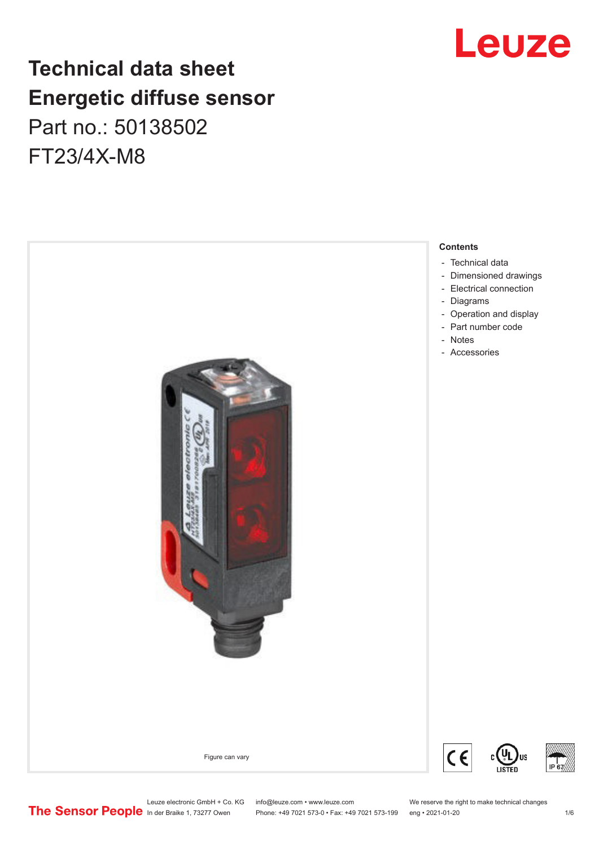## **Technical data sheet Energetic diffuse sensor** Part no.: 50138502 FT23/4X-M8



## Leuze

Leuze electronic GmbH + Co. KG info@leuze.com • www.leuze.com We reserve the right to make technical changes<br> **The Sensor People** in der Braike 1, 73277 Owen Phone: +49 7021 573-0 • Fax: +49 7021 573-199 eng • 2021-01-20

Phone: +49 7021 573-0 • Fax: +49 7021 573-199 eng • 2021-01-20 1 2021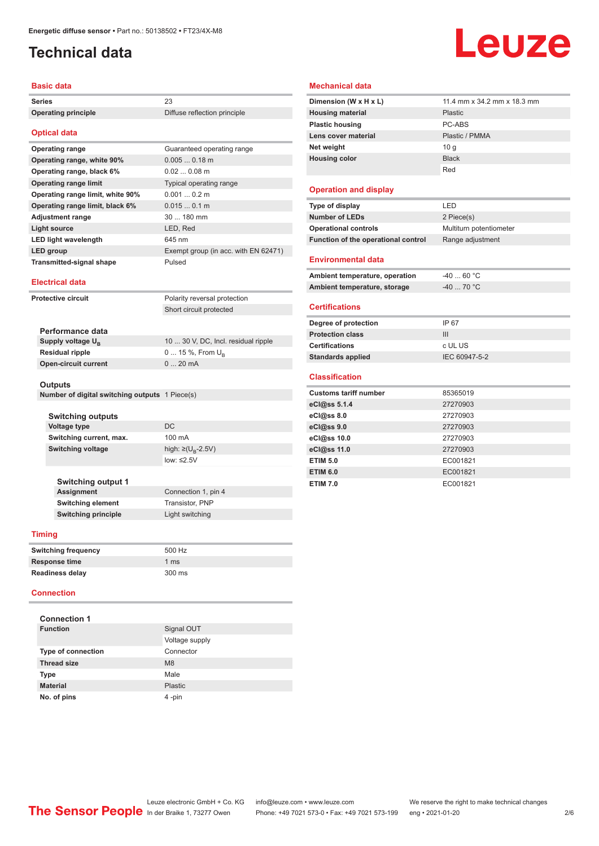## <span id="page-1-0"></span>**Technical data**

#### **Basic data**

| Series                     | -23                          |
|----------------------------|------------------------------|
| <b>Operating principle</b> | Diffuse reflection principle |

#### **Optical data**

| Guaranteed operating range           |
|--------------------------------------|
| $0.0050.18$ m                        |
| $0.020.08$ m                         |
| <b>Typical operating range</b>       |
| 0.0010.2 m                           |
| 0.0150.1 m                           |
| $30180$ mm                           |
| LED, Red                             |
| 645 nm                               |
| Exempt group (in acc. with EN 62471) |
| Pulsed                               |
|                                      |

#### **Electrical data**

| <b>Protective circuit</b> | Polarity reversal protection |
|---------------------------|------------------------------|
|                           | Short circuit protected      |
|                           |                              |

| Performance data              |                                     |
|-------------------------------|-------------------------------------|
| Supply voltage U <sub>p</sub> | 10  30 V, DC, Incl. residual ripple |
| <b>Residual ripple</b>        | $0$ 15 %, From $U_{p}$              |
| <b>Open-circuit current</b>   | $020$ mA                            |

#### **Outputs**

| Number of digital switching outputs 1 Piece(s) |  |  |  |
|------------------------------------------------|--|--|--|
|------------------------------------------------|--|--|--|

| <b>Switching outputs</b><br>Voltage type | DC.                         |
|------------------------------------------|-----------------------------|
| Switching current, max.                  | 100 mA                      |
| Switching voltage                        | high: ≥( $U_{\rm R}$ -2.5V) |
|                                          | $low: \leq 2.5V$            |
| <b>Switching output 1</b>                |                             |

**Assignment** Connection 1, pin 4 **Switching element** Transistor, PNP **Switching principle** Light switching

#### **Timing**

| <b>Switching frequency</b> | 500 Hz         |
|----------------------------|----------------|
| <b>Response time</b>       | $1 \text{ ms}$ |
| Readiness delay            | 300 ms         |

#### **Connection**

| <b>Connection 1</b>       |                |
|---------------------------|----------------|
| <b>Function</b>           | Signal OUT     |
|                           | Voltage supply |
| <b>Type of connection</b> | Connector      |
| <b>Thread size</b>        | M8             |
| <b>Type</b>               | Male           |
| <b>Material</b>           | Plastic        |
| No. of pins               | 4-pin          |

# Leuze

#### **Mechanical data**

| Dimension (W x H x L)   | 11.4 mm x 34.2 mm x 18.3 mm |
|-------------------------|-----------------------------|
| <b>Housing material</b> | Plastic                     |
| <b>Plastic housing</b>  | PC-ABS                      |
| Lens cover material     | Plastic / PMMA              |
| Net weight              | 10q                         |
| <b>Housing color</b>    | <b>Black</b>                |
|                         | Red                         |

#### **Operation and display**

| Type of display                     | I FD.                   |
|-------------------------------------|-------------------------|
| <b>Number of LEDs</b>               | 2 Piece(s)              |
| <b>Operational controls</b>         | Multiturn potentiometer |
| Function of the operational control | Range adjustment        |
| <b>Environmental data</b>           |                         |

| Ambient temperature, operation | -40  60 °C |
|--------------------------------|------------|
| Ambient temperature, storage   | -40  70 °C |

#### **Certifications**

| Degree of protection     | IP 67         |
|--------------------------|---------------|
| <b>Protection class</b>  | Ш             |
| <b>Certifications</b>    | c UL US       |
| <b>Standards applied</b> | IEC 60947-5-2 |

#### **Classification**

| <b>Customs tariff number</b> | 85365019 |
|------------------------------|----------|
| eCl@ss 5.1.4                 | 27270903 |
| eCl@ss 8.0                   | 27270903 |
| eC <sub>1</sub> @ss 9.0      | 27270903 |
| eCl@ss 10.0                  | 27270903 |
| eCl@ss 11.0                  | 27270903 |
| <b>ETIM 5.0</b>              | EC001821 |
| <b>ETIM 6.0</b>              | EC001821 |
| <b>ETIM 7.0</b>              | EC001821 |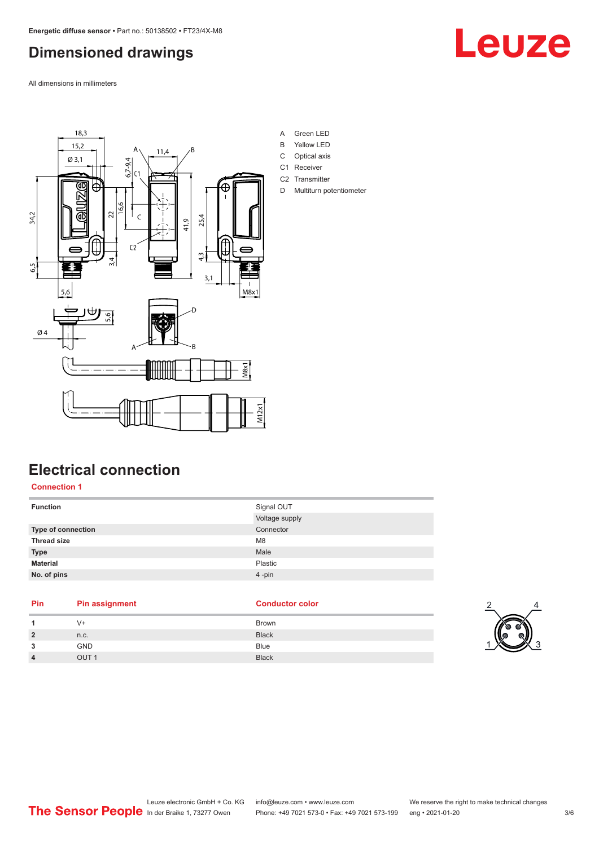## <span id="page-2-0"></span>**Dimensioned drawings**

All dimensions in millimeters





## **Electrical connection**

**Connection 1**

| <b>Function</b>    | Signal OUT     |
|--------------------|----------------|
|                    | Voltage supply |
| Type of connection | Connector      |
| <b>Thread size</b> | M <sub>8</sub> |
| <b>Type</b>        | Male           |
| <b>Material</b>    | Plastic        |
| No. of pins        | 4-pin          |
|                    |                |

| Pin                     | <b>Pin assignment</b> | <b>Conductor color</b> |
|-------------------------|-----------------------|------------------------|
| 1                       | V+                    | <b>Brown</b>           |
| $\overline{2}$          | n.c.                  | <b>Black</b>           |
| 3                       | <b>GND</b>            | <b>Blue</b>            |
| $\overline{\mathbf{4}}$ | OUT <sub>1</sub>      | <b>Black</b>           |

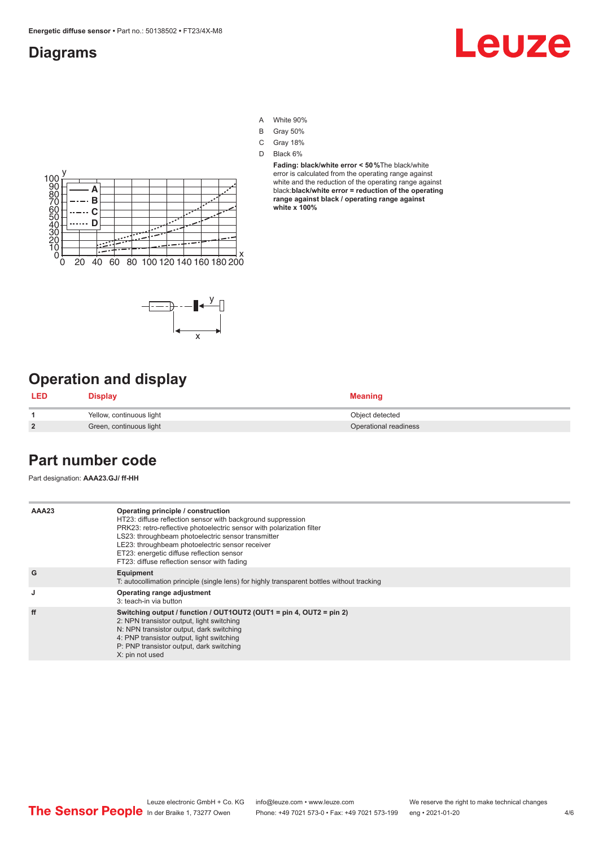### <span id="page-3-0"></span>**Diagrams**

## Leuze

- A White 90%
- B Gray 50%
- C Gray 18%
- D Black 6%

**Fading: black/white error < 50 %**The black/white error is calculated from the operating range against white and the reduction of the operating range against black:**black/white error = reduction of the operating range against black / operating range against white x 100%**





## **Operation and display**

| <b>LED</b>     | <b>Display</b>           | <b>Meaning</b>        |
|----------------|--------------------------|-----------------------|
|                | Yellow, continuous light | Object detected       |
| $\overline{2}$ | Green, continuous light  | Operational readiness |

### **Part number code**

Part designation: **AAA23.GJ/ ff-HH**

| AAA23 | Operating principle / construction<br>HT23: diffuse reflection sensor with background suppression<br>PRK23: retro-reflective photoelectric sensor with polarization filter<br>LS23: throughbeam photoelectric sensor transmitter<br>LE23: throughbeam photoelectric sensor receiver<br>ET23: energetic diffuse reflection sensor<br>FT23: diffuse reflection sensor with fading |
|-------|---------------------------------------------------------------------------------------------------------------------------------------------------------------------------------------------------------------------------------------------------------------------------------------------------------------------------------------------------------------------------------|
| G     | Equipment<br>T: autocollimation principle (single lens) for highly transparent bottles without tracking                                                                                                                                                                                                                                                                         |
| J     | Operating range adjustment<br>3: teach-in via button                                                                                                                                                                                                                                                                                                                            |
| ff    | Switching output / function / $OUT1OUT2$ (OUT1 = pin 4, OUT2 = pin 2)<br>2: NPN transistor output, light switching<br>N: NPN transistor output, dark switching<br>4: PNP transistor output, light switching<br>P: PNP transistor output, dark switching<br>X: pin not used                                                                                                      |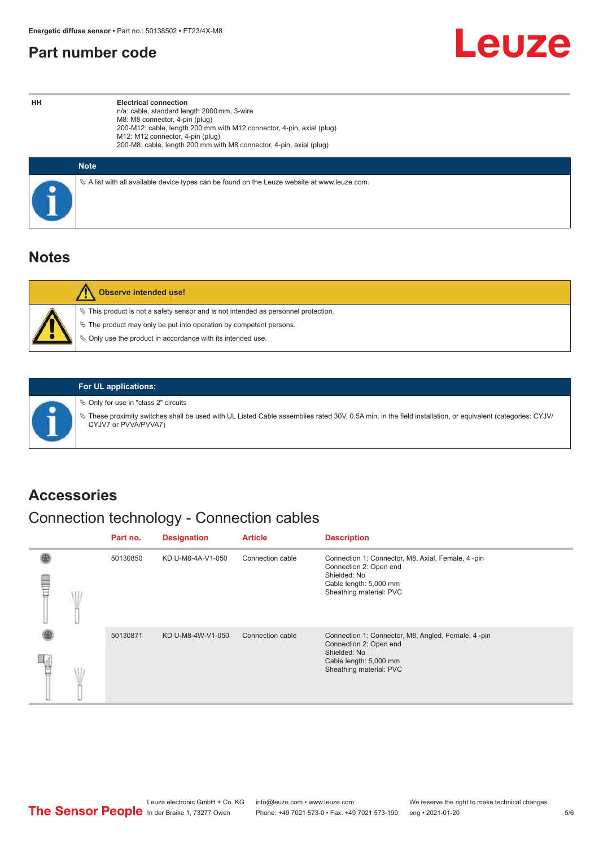### <span id="page-4-0"></span>**Part number code**



**HH Electrical connection** n/a: cable, standard length 2000 mm, 3-wire M8: M8 connector, 4-pin (plug) 200-M12: cable, length 200 mm with M12 connector, 4-pin, axial (plug) M12: M12 connector, 4-pin (plug) 200-M8: cable, length 200 mm with M8 connector, 4-pin, axial (plug)

| <b>Note</b>                                                                                     |
|-------------------------------------------------------------------------------------------------|
| $\%$ A list with all available device types can be found on the Leuze website at www.leuze.com. |

### **Notes**

| <b>Observe intended use!</b>                                                                                                                                                                                                  |
|-------------------------------------------------------------------------------------------------------------------------------------------------------------------------------------------------------------------------------|
| $\%$ This product is not a safety sensor and is not intended as personnel protection.<br>$\&$ The product may only be put into operation by competent persons.<br>♦ Only use the product in accordance with its intended use. |



#### **For UL applications:**

 $\%$  Only for use in "class 2" circuits

ª These proximity switches shall be used with UL Listed Cable assemblies rated 30V, 0.5A min, in the field installation, or equivalent (categories: CYJV/ CYJV7 or PVVA/PVVA7)

### **Accessories**

## Connection technology - Connection cables

|   | Part no. | <b>Designation</b> | <b>Article</b>   | <b>Description</b>                                                                                                                                |
|---|----------|--------------------|------------------|---------------------------------------------------------------------------------------------------------------------------------------------------|
| U | 50130850 | KD U-M8-4A-V1-050  | Connection cable | Connection 1: Connector, M8, Axial, Female, 4 -pin<br>Connection 2: Open end<br>Shielded: No<br>Cable length: 5,000 mm<br>Sheathing material: PVC |
|   | 50130871 | KD U-M8-4W-V1-050  | Connection cable | Connection 1: Connector, M8, Angled, Female, 4-pin<br>Connection 2: Open end<br>Shielded: No<br>Cable length: 5,000 mm<br>Sheathing material: PVC |